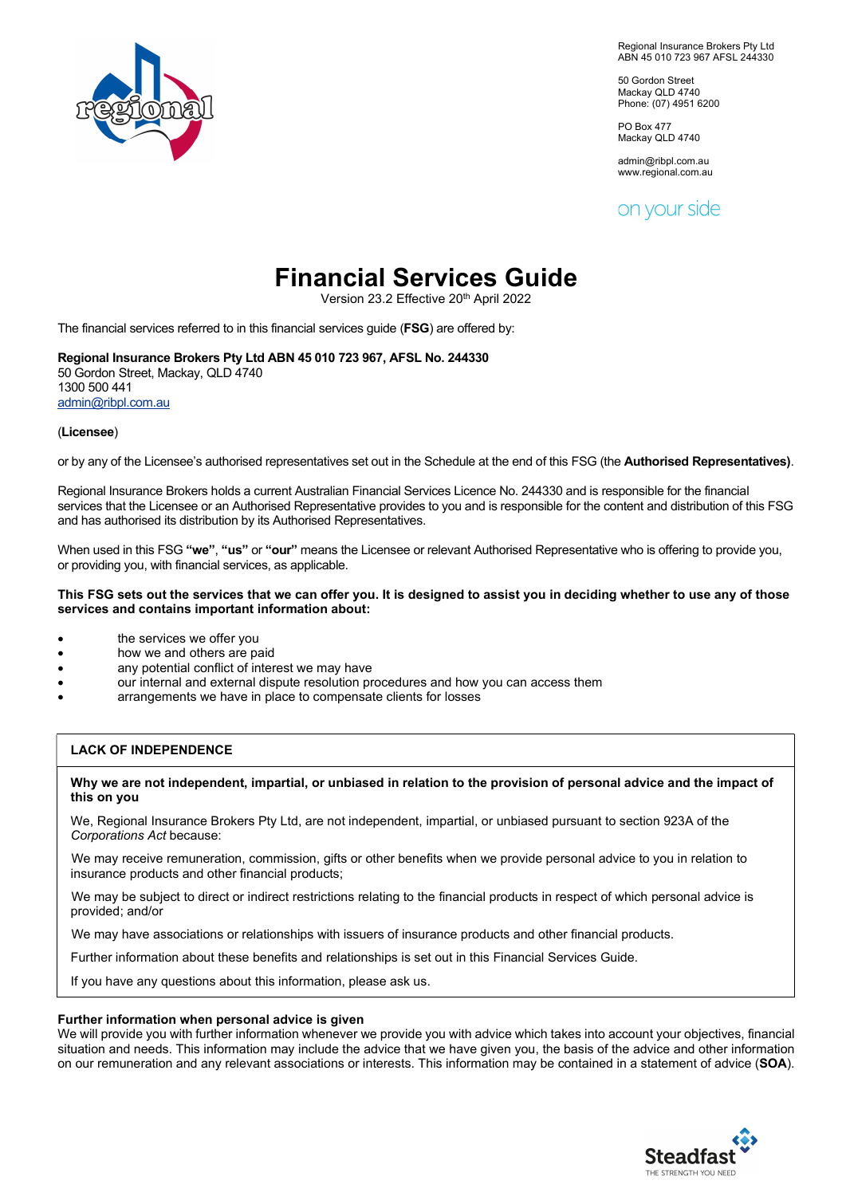

Regional Insurance Brokers Pty Ltd ABN 45 010 723 967 AFSL 244330

50 Gordon Street Mackay QLD 4740 Phone: (07) 4951 6200

PO Box 477 Mackay QLD 4740

admin@ribpl.com.au www.regional.com.au

on your side

# Financial Services Guide

Version 23.2 Effective 20th April 2022

The financial services referred to in this financial services guide (FSG) are offered by:

# Regional Insurance Brokers Pty Ltd ABN 45 010 723 967, AFSL No. 244330

50 Gordon Street, Mackay, QLD 4740 1300 500 441 admin@ribpl.com.au

### (Licensee)

or by any of the Licensee's authorised representatives set out in the Schedule at the end of this FSG (the Authorised Representatives).

Regional Insurance Brokers holds a current Australian Financial Services Licence No. 244330 and is responsible for the financial services that the Licensee or an Authorised Representative provides to you and is responsible for the content and distribution of this FSG and has authorised its distribution by its Authorised Representatives.

When used in this FSG "we", "us" or "our" means the Licensee or relevant Authorised Representative who is offering to provide you, or providing you, with financial services, as applicable.

#### This FSG sets out the services that we can offer you. It is designed to assist you in deciding whether to use any of those services and contains important information about:

- the services we offer you
- how we and others are paid
- any potential conflict of interest we may have
- our internal and external dispute resolution procedures and how you can access them
- arrangements we have in place to compensate clients for losses

## LACK OF INDEPENDENCE

#### Why we are not independent, impartial, or unbiased in relation to the provision of personal advice and the impact of this on you

We, Regional Insurance Brokers Pty Ltd, are not independent, impartial, or unbiased pursuant to section 923A of the Corporations Act because:

 We may receive remuneration, commission, gifts or other benefits when we provide personal advice to you in relation to insurance products and other financial products;

 We may be subject to direct or indirect restrictions relating to the financial products in respect of which personal advice is provided; and/or

We may have associations or relationships with issuers of insurance products and other financial products.

Further information about these benefits and relationships is set out in this Financial Services Guide.

If you have any questions about this information, please ask us.

#### Further information when personal advice is given

We will provide you with further information whenever we provide you with advice which takes into account your objectives, financial situation and needs. This information may include the advice that we have given you, the basis of the advice and other information on our remuneration and any relevant associations or interests. This information may be contained in a statement of advice (SOA).

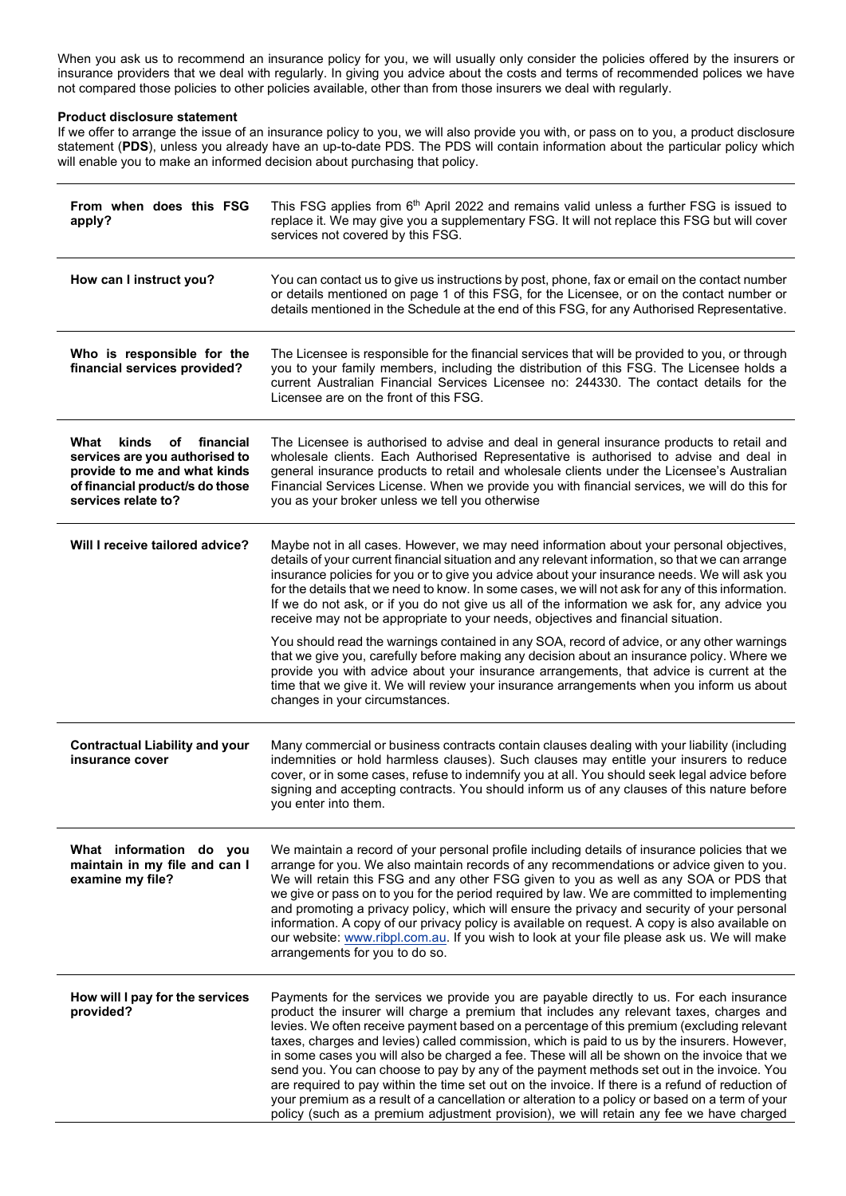When you ask us to recommend an insurance policy for you, we will usually only consider the policies offered by the insurers or insurance providers that we deal with regularly. In giving you advice about the costs and terms of recommended polices we have not compared those policies to other policies available, other than from those insurers we deal with regularly.

## Product disclosure statement

If we offer to arrange the issue of an insurance policy to you, we will also provide you with, or pass on to you, a product disclosure statement (PDS), unless you already have an up-to-date PDS. The PDS will contain information about the particular policy which will enable you to make an informed decision about purchasing that policy.

| From when does this FSG<br>apply?                                                                                                                         | This FSG applies from 6 <sup>th</sup> April 2022 and remains valid unless a further FSG is issued to<br>replace it. We may give you a supplementary FSG. It will not replace this FSG but will cover<br>services not covered by this FSG.                                                                                                                                                                                                                                                                                                                                                                                                                                                                                                                                                                                                                                      |  |
|-----------------------------------------------------------------------------------------------------------------------------------------------------------|--------------------------------------------------------------------------------------------------------------------------------------------------------------------------------------------------------------------------------------------------------------------------------------------------------------------------------------------------------------------------------------------------------------------------------------------------------------------------------------------------------------------------------------------------------------------------------------------------------------------------------------------------------------------------------------------------------------------------------------------------------------------------------------------------------------------------------------------------------------------------------|--|
| How can I instruct you?                                                                                                                                   | You can contact us to give us instructions by post, phone, fax or email on the contact number<br>or details mentioned on page 1 of this FSG, for the Licensee, or on the contact number or<br>details mentioned in the Schedule at the end of this FSG, for any Authorised Representative.                                                                                                                                                                                                                                                                                                                                                                                                                                                                                                                                                                                     |  |
| Who is responsible for the<br>financial services provided?                                                                                                | The Licensee is responsible for the financial services that will be provided to you, or through<br>you to your family members, including the distribution of this FSG. The Licensee holds a<br>current Australian Financial Services Licensee no: 244330. The contact details for the<br>Licensee are on the front of this FSG.                                                                                                                                                                                                                                                                                                                                                                                                                                                                                                                                                |  |
| What<br>kinds<br>of financial<br>services are you authorised to<br>provide to me and what kinds<br>of financial product/s do those<br>services relate to? | The Licensee is authorised to advise and deal in general insurance products to retail and<br>wholesale clients. Each Authorised Representative is authorised to advise and deal in<br>general insurance products to retail and wholesale clients under the Licensee's Australian<br>Financial Services License. When we provide you with financial services, we will do this for<br>you as your broker unless we tell you otherwise                                                                                                                                                                                                                                                                                                                                                                                                                                            |  |
| Will I receive tailored advice?                                                                                                                           | Maybe not in all cases. However, we may need information about your personal objectives,<br>details of your current financial situation and any relevant information, so that we can arrange<br>insurance policies for you or to give you advice about your insurance needs. We will ask you<br>for the details that we need to know. In some cases, we will not ask for any of this information.<br>If we do not ask, or if you do not give us all of the information we ask for, any advice you<br>receive may not be appropriate to your needs, objectives and financial situation.                                                                                                                                                                                                                                                                                         |  |
|                                                                                                                                                           | You should read the warnings contained in any SOA, record of advice, or any other warnings<br>that we give you, carefully before making any decision about an insurance policy. Where we<br>provide you with advice about your insurance arrangements, that advice is current at the<br>time that we give it. We will review your insurance arrangements when you inform us about<br>changes in your circumstances.                                                                                                                                                                                                                                                                                                                                                                                                                                                            |  |
| <b>Contractual Liability and your</b><br>insurance cover                                                                                                  | Many commercial or business contracts contain clauses dealing with your liability (including<br>indemnities or hold harmless clauses). Such clauses may entitle your insurers to reduce<br>cover, or in some cases, refuse to indemnify you at all. You should seek legal advice before<br>signing and accepting contracts. You should inform us of any clauses of this nature before<br>you enter into them.                                                                                                                                                                                                                                                                                                                                                                                                                                                                  |  |
| What information do you<br>maintain in my file and can I<br>examine my file?                                                                              | We maintain a record of your personal profile including details of insurance policies that we<br>arrange for you. We also maintain records of any recommendations or advice given to you.<br>We will retain this FSG and any other FSG given to you as well as any SOA or PDS that<br>we give or pass on to you for the period required by law. We are committed to implementing<br>and promoting a privacy policy, which will ensure the privacy and security of your personal<br>information. A copy of our privacy policy is available on request. A copy is also available on<br>our website: www.ribpl.com.au. If you wish to look at your file please ask us. We will make<br>arrangements for you to do so.                                                                                                                                                             |  |
| How will I pay for the services<br>provided?                                                                                                              | Payments for the services we provide you are payable directly to us. For each insurance<br>product the insurer will charge a premium that includes any relevant taxes, charges and<br>levies. We often receive payment based on a percentage of this premium (excluding relevant<br>taxes, charges and levies) called commission, which is paid to us by the insurers. However,<br>in some cases you will also be charged a fee. These will all be shown on the invoice that we<br>send you. You can choose to pay by any of the payment methods set out in the invoice. You<br>are required to pay within the time set out on the invoice. If there is a refund of reduction of<br>your premium as a result of a cancellation or alteration to a policy or based on a term of your<br>policy (such as a premium adjustment provision), we will retain any fee we have charged |  |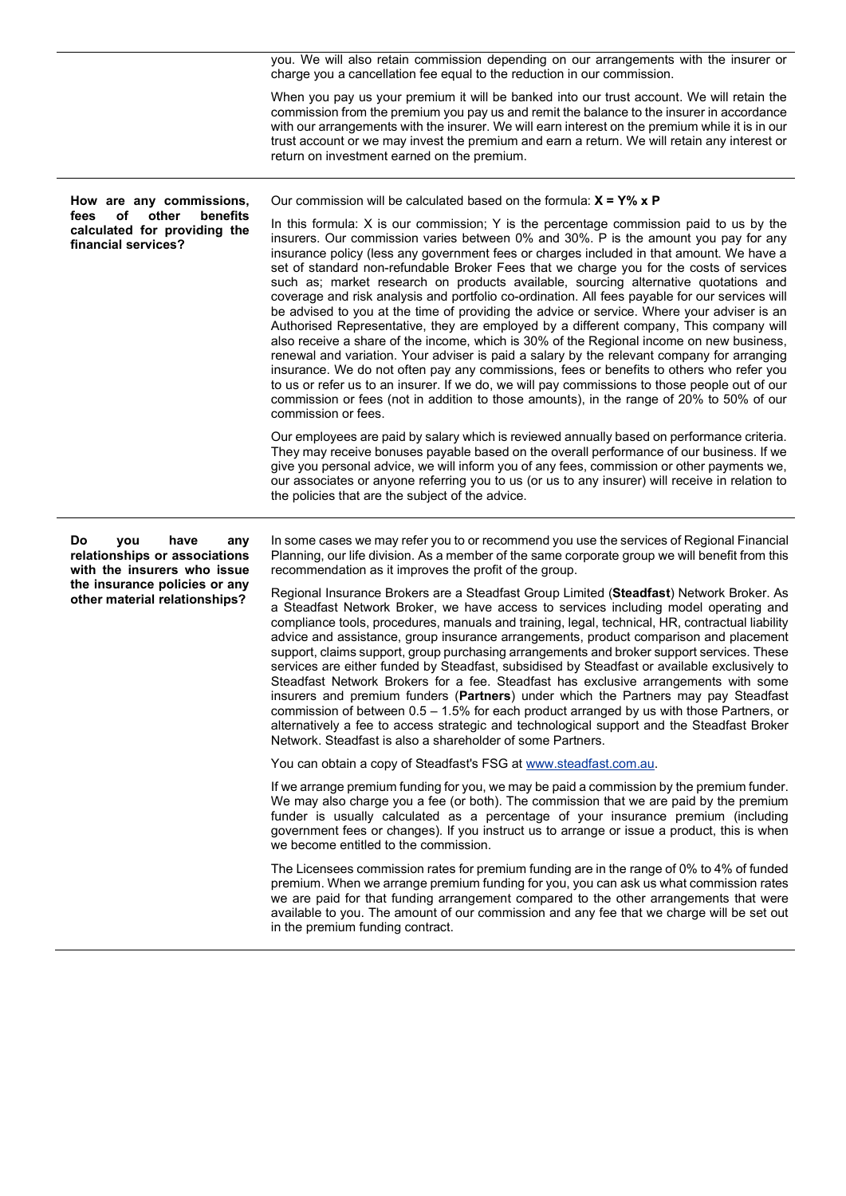|                                                                                                                    | you. We will also retain commission depending on our arrangements with the insurer or<br>charge you a cancellation fee equal to the reduction in our commission.<br>When you pay us your premium it will be banked into our trust account. We will retain the<br>commission from the premium you pay us and remit the balance to the insurer in accordance<br>with our arrangements with the insurer. We will earn interest on the premium while it is in our<br>trust account or we may invest the premium and earn a return. We will retain any interest or<br>return on investment earned on the premium.                                                                                                                                                                                                                                                                                                                                                                                                                                                                                                                                                                                                                                                                                                                                                                                                                                                                                                                                                                                                                                                                                                                                                                                 |
|--------------------------------------------------------------------------------------------------------------------|----------------------------------------------------------------------------------------------------------------------------------------------------------------------------------------------------------------------------------------------------------------------------------------------------------------------------------------------------------------------------------------------------------------------------------------------------------------------------------------------------------------------------------------------------------------------------------------------------------------------------------------------------------------------------------------------------------------------------------------------------------------------------------------------------------------------------------------------------------------------------------------------------------------------------------------------------------------------------------------------------------------------------------------------------------------------------------------------------------------------------------------------------------------------------------------------------------------------------------------------------------------------------------------------------------------------------------------------------------------------------------------------------------------------------------------------------------------------------------------------------------------------------------------------------------------------------------------------------------------------------------------------------------------------------------------------------------------------------------------------------------------------------------------------|
| How are any commissions,<br>οf<br>other<br>benefits<br>fees<br>calculated for providing the<br>financial services? | Our commission will be calculated based on the formula: $X = Y\% \times P$<br>In this formula: X is our commission; Y is the percentage commission paid to us by the<br>insurers. Our commission varies between 0% and 30%. P is the amount you pay for any<br>insurance policy (less any government fees or charges included in that amount. We have a<br>set of standard non-refundable Broker Fees that we charge you for the costs of services<br>such as; market research on products available, sourcing alternative quotations and<br>coverage and risk analysis and portfolio co-ordination. All fees payable for our services will<br>be advised to you at the time of providing the advice or service. Where your adviser is an<br>Authorised Representative, they are employed by a different company, This company will<br>also receive a share of the income, which is 30% of the Regional income on new business,<br>renewal and variation. Your adviser is paid a salary by the relevant company for arranging<br>insurance. We do not often pay any commissions, fees or benefits to others who refer you<br>to us or refer us to an insurer. If we do, we will pay commissions to those people out of our<br>commission or fees (not in addition to those amounts), in the range of 20% to 50% of our<br>commission or fees.<br>Our employees are paid by salary which is reviewed annually based on performance criteria.<br>They may receive bonuses payable based on the overall performance of our business. If we<br>give you personal advice, we will inform you of any fees, commission or other payments we,<br>our associates or anyone referring you to us (or us to any insurer) will receive in relation to<br>the policies that are the subject of the advice. |
|                                                                                                                    |                                                                                                                                                                                                                                                                                                                                                                                                                                                                                                                                                                                                                                                                                                                                                                                                                                                                                                                                                                                                                                                                                                                                                                                                                                                                                                                                                                                                                                                                                                                                                                                                                                                                                                                                                                                              |

Do you have any relationships or associations with the insurers who issue the insurance policies or any other material relationships?

In some cases we may refer you to or recommend you use the services of Regional Financial Planning, our life division. As a member of the same corporate group we will benefit from this recommendation as it improves the profit of the group.

Regional Insurance Brokers are a Steadfast Group Limited (Steadfast) Network Broker. As a Steadfast Network Broker, we have access to services including model operating and compliance tools, procedures, manuals and training, legal, technical, HR, contractual liability advice and assistance, group insurance arrangements, product comparison and placement support, claims support, group purchasing arrangements and broker support services. These services are either funded by Steadfast, subsidised by Steadfast or available exclusively to Steadfast Network Brokers for a fee. Steadfast has exclusive arrangements with some insurers and premium funders (Partners) under which the Partners may pay Steadfast commission of between  $0.5 - 1.5\%$  for each product arranged by us with those Partners, or alternatively a fee to access strategic and technological support and the Steadfast Broker Network. Steadfast is also a shareholder of some Partners.

You can obtain a copy of Steadfast's FSG at www.steadfast.com.au.

If we arrange premium funding for you, we may be paid a commission by the premium funder. We may also charge you a fee (or both). The commission that we are paid by the premium funder is usually calculated as a percentage of your insurance premium (including government fees or changes). If you instruct us to arrange or issue a product, this is when we become entitled to the commission.

The Licensees commission rates for premium funding are in the range of 0% to 4% of funded premium. When we arrange premium funding for you, you can ask us what commission rates we are paid for that funding arrangement compared to the other arrangements that were available to you. The amount of our commission and any fee that we charge will be set out in the premium funding contract.